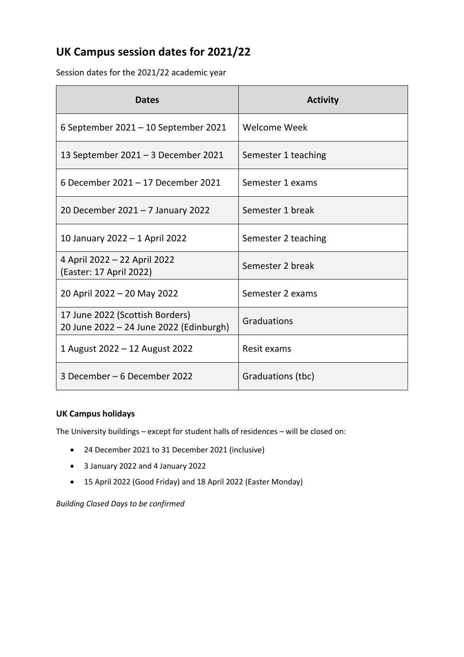# **UK Campus session dates for 2021/22**

Session dates for the 2021/22 academic year

| <b>Dates</b>                                                               | <b>Activity</b>     |
|----------------------------------------------------------------------------|---------------------|
| 6 September 2021 - 10 September 2021                                       | Welcome Week        |
| 13 September 2021 – 3 December 2021                                        | Semester 1 teaching |
| 6 December 2021 - 17 December 2021                                         | Semester 1 exams    |
| 20 December 2021 - 7 January 2022                                          | Semester 1 break    |
| 10 January 2022 - 1 April 2022                                             | Semester 2 teaching |
| 4 April 2022 – 22 April 2022<br>(Easter: 17 April 2022)                    | Semester 2 break    |
| 20 April 2022 - 20 May 2022                                                | Semester 2 exams    |
| 17 June 2022 (Scottish Borders)<br>20 June 2022 - 24 June 2022 (Edinburgh) | Graduations         |
| 1 August 2022 – 12 August 2022                                             | Resit exams         |
| 3 December – 6 December 2022                                               | Graduations (tbc)   |

### **UK Campus holidays**

The University buildings – except for student halls of residences – will be closed on:

- 24 December 2021 to 31 December 2021 (inclusive)
- 3 January 2022 and 4 January 2022
- 15 April 2022 (Good Friday) and 18 April 2022 (Easter Monday)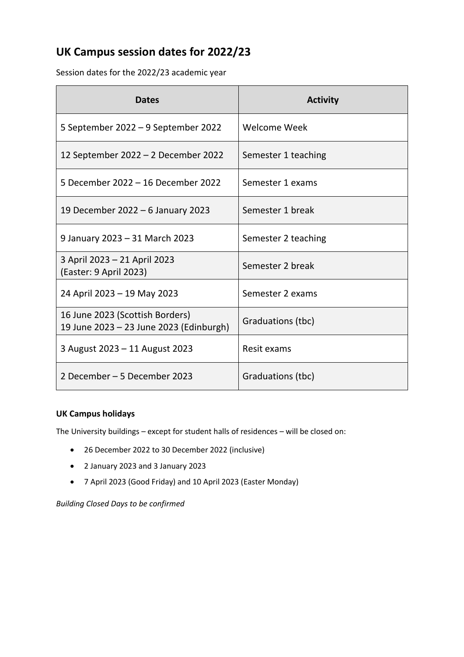# **UK Campus session dates for 2022/23**

Session dates for the 2022/23 academic year

| <b>Dates</b>                                                               | <b>Activity</b>     |
|----------------------------------------------------------------------------|---------------------|
| 5 September 2022 – 9 September 2022                                        | Welcome Week        |
| 12 September 2022 – 2 December 2022                                        | Semester 1 teaching |
| 5 December 2022 - 16 December 2022                                         | Semester 1 exams    |
| 19 December 2022 – 6 January 2023                                          | Semester 1 break    |
| 9 January 2023 - 31 March 2023                                             | Semester 2 teaching |
| 3 April 2023 - 21 April 2023<br>(Easter: 9 April 2023)                     | Semester 2 break    |
| 24 April 2023 - 19 May 2023                                                | Semester 2 exams    |
| 16 June 2023 (Scottish Borders)<br>19 June 2023 - 23 June 2023 (Edinburgh) | Graduations (tbc)   |
| 3 August 2023 – 11 August 2023                                             | Resit exams         |
| 2 December – 5 December 2023                                               | Graduations (tbc)   |

#### **UK Campus holidays**

The University buildings – except for student halls of residences – will be closed on:

- 26 December 2022 to 30 December 2022 (inclusive)
- 2 January 2023 and 3 January 2023
- 7 April 2023 (Good Friday) and 10 April 2023 (Easter Monday)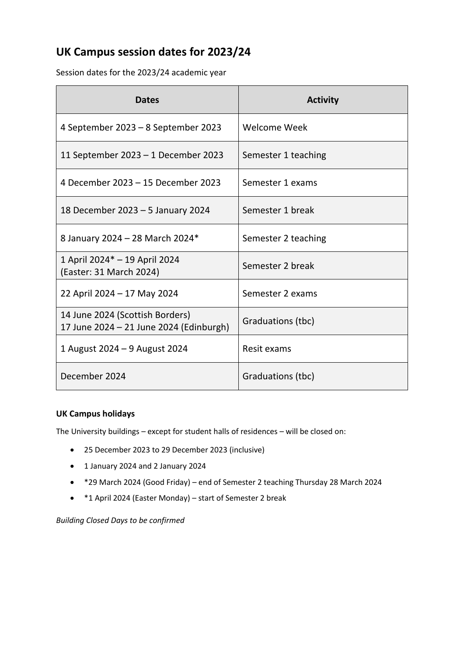## **UK Campus session dates for 2023/24**

Session dates for the 2023/24 academic year

| <b>Dates</b>                                                               | <b>Activity</b>     |
|----------------------------------------------------------------------------|---------------------|
| 4 September 2023 – 8 September 2023                                        | Welcome Week        |
| 11 September 2023 – 1 December 2023                                        | Semester 1 teaching |
| 4 December 2023 - 15 December 2023                                         | Semester 1 exams    |
| 18 December 2023 – 5 January 2024                                          | Semester 1 break    |
| 8 January 2024 - 28 March 2024*                                            | Semester 2 teaching |
| 1 April 2024* - 19 April 2024<br>(Easter: 31 March 2024)                   | Semester 2 break    |
| 22 April 2024 – 17 May 2024                                                | Semester 2 exams    |
| 14 June 2024 (Scottish Borders)<br>17 June 2024 - 21 June 2024 (Edinburgh) | Graduations (tbc)   |
| 1 August 2024 – 9 August 2024                                              | Resit exams         |
| December 2024                                                              | Graduations (tbc)   |

#### **UK Campus holidays**

The University buildings – except for student halls of residences – will be closed on:

- 25 December 2023 to 29 December 2023 (inclusive)
- 1 January 2024 and 2 January 2024
- \*29 March 2024 (Good Friday) end of Semester 2 teaching Thursday 28 March 2024
- \*1 April 2024 (Easter Monday) start of Semester 2 break